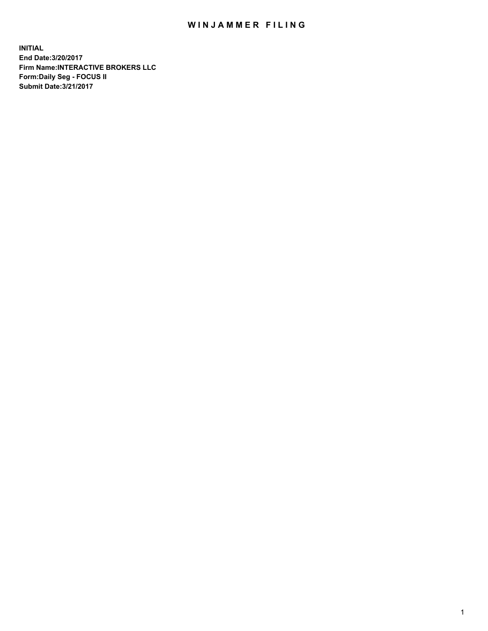## WIN JAMMER FILING

**INITIAL End Date:3/20/2017 Firm Name:INTERACTIVE BROKERS LLC Form:Daily Seg - FOCUS II Submit Date:3/21/2017**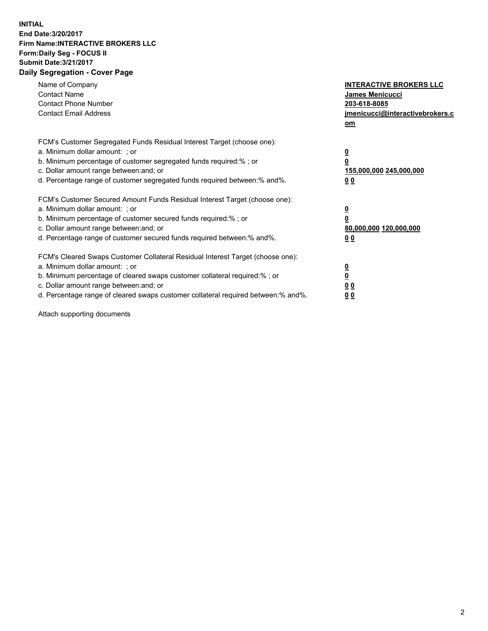## **INITIAL End Date:3/20/2017 Firm Name:INTERACTIVE BROKERS LLC Form:Daily Seg - FOCUS II Submit Date:3/21/2017 Daily Segregation - Cover Page**

| Name of Company<br><b>Contact Name</b><br><b>Contact Phone Number</b><br><b>Contact Email Address</b>                                                                                                                                                                                                                          | <b>INTERACTIVE BROKERS LLC</b><br>James Menicucci<br>203-618-8085<br>jmenicucci@interactivebrokers.c<br>om |
|--------------------------------------------------------------------------------------------------------------------------------------------------------------------------------------------------------------------------------------------------------------------------------------------------------------------------------|------------------------------------------------------------------------------------------------------------|
| FCM's Customer Segregated Funds Residual Interest Target (choose one):<br>a. Minimum dollar amount: ; or<br>b. Minimum percentage of customer segregated funds required:%; or<br>c. Dollar amount range between: and; or<br>d. Percentage range of customer segregated funds required between:% and%.                          | $\overline{\mathbf{0}}$<br>0<br>155,000,000 245,000,000<br>0 <sub>0</sub>                                  |
| FCM's Customer Secured Amount Funds Residual Interest Target (choose one):<br>a. Minimum dollar amount: ; or<br>b. Minimum percentage of customer secured funds required:%; or<br>c. Dollar amount range between: and; or<br>d. Percentage range of customer secured funds required between:% and%.                            | $\overline{\mathbf{0}}$<br>$\overline{\mathbf{0}}$<br>80,000,000 120,000,000<br>00                         |
| FCM's Cleared Swaps Customer Collateral Residual Interest Target (choose one):<br>a. Minimum dollar amount: ; or<br>b. Minimum percentage of cleared swaps customer collateral required:% ; or<br>c. Dollar amount range between: and; or<br>d. Percentage range of cleared swaps customer collateral required between:% and%. | $\overline{\mathbf{0}}$<br>$\overline{\mathbf{0}}$<br>0 <sub>0</sub><br><u>00</u>                          |

Attach supporting documents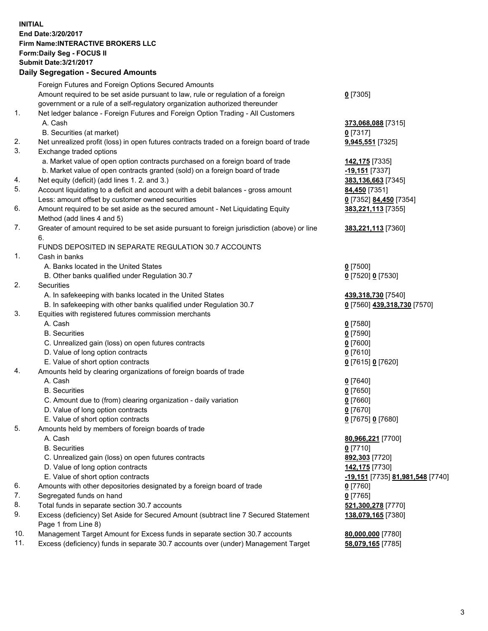## **INITIAL End Date:3/20/2017 Firm Name:INTERACTIVE BROKERS LLC Form:Daily Seg - FOCUS II Submit Date:3/21/2017 Daily Segregation - Secured Amounts**

|     | Daily Segregation - Secured Amounts                                                         |                                  |
|-----|---------------------------------------------------------------------------------------------|----------------------------------|
|     | Foreign Futures and Foreign Options Secured Amounts                                         |                                  |
|     | Amount required to be set aside pursuant to law, rule or regulation of a foreign            | $0$ [7305]                       |
|     | government or a rule of a self-regulatory organization authorized thereunder                |                                  |
| 1.  | Net ledger balance - Foreign Futures and Foreign Option Trading - All Customers             |                                  |
|     |                                                                                             |                                  |
|     | A. Cash                                                                                     | 373,068,088 [7315]               |
|     | B. Securities (at market)                                                                   | $0$ [7317]                       |
| 2.  | Net unrealized profit (loss) in open futures contracts traded on a foreign board of trade   | 9,945,551 [7325]                 |
| 3.  | Exchange traded options                                                                     |                                  |
|     | a. Market value of open option contracts purchased on a foreign board of trade              | 142,175 [7335]                   |
|     | b. Market value of open contracts granted (sold) on a foreign board of trade                | -19,151 [7337]                   |
| 4.  | Net equity (deficit) (add lines 1.2. and 3.)                                                | 383,136,663 [7345]               |
| 5.  | Account liquidating to a deficit and account with a debit balances - gross amount           | 84,450 [7351]                    |
|     | Less: amount offset by customer owned securities                                            | 0 [7352] 84,450 [7354]           |
| 6.  | Amount required to be set aside as the secured amount - Net Liquidating Equity              | 383,221,113 [7355]               |
|     | Method (add lines 4 and 5)                                                                  |                                  |
| 7.  | Greater of amount required to be set aside pursuant to foreign jurisdiction (above) or line | 383,221,113 [7360]               |
|     | 6.                                                                                          |                                  |
|     | FUNDS DEPOSITED IN SEPARATE REGULATION 30.7 ACCOUNTS                                        |                                  |
| 1.  | Cash in banks                                                                               |                                  |
|     | A. Banks located in the United States                                                       | $0$ [7500]                       |
|     | B. Other banks qualified under Regulation 30.7                                              | 0 [7520] 0 [7530]                |
| 2.  | Securities                                                                                  |                                  |
|     | A. In safekeeping with banks located in the United States                                   | 439,318,730 [7540]               |
|     | B. In safekeeping with other banks qualified under Regulation 30.7                          | 0 [7560] 439,318,730 [7570]      |
| 3.  | Equities with registered futures commission merchants                                       |                                  |
|     | A. Cash                                                                                     |                                  |
|     | <b>B.</b> Securities                                                                        | $0$ [7580]                       |
|     |                                                                                             | $0$ [7590]                       |
|     | C. Unrealized gain (loss) on open futures contracts                                         | $0$ [7600]                       |
|     | D. Value of long option contracts                                                           | $0$ [7610]                       |
|     | E. Value of short option contracts                                                          | 0 [7615] 0 [7620]                |
| 4.  | Amounts held by clearing organizations of foreign boards of trade                           |                                  |
|     | A. Cash                                                                                     | $0$ [7640]                       |
|     | <b>B.</b> Securities                                                                        | $0$ [7650]                       |
|     | C. Amount due to (from) clearing organization - daily variation                             | $0$ [7660]                       |
|     | D. Value of long option contracts                                                           | $0$ [7670]                       |
|     | E. Value of short option contracts                                                          | 0 [7675] 0 [7680]                |
| 5.  | Amounts held by members of foreign boards of trade                                          |                                  |
|     | A. Cash                                                                                     | 80,966,221 [7700]                |
|     | <b>B.</b> Securities                                                                        | $0$ [7710]                       |
|     | C. Unrealized gain (loss) on open futures contracts                                         | 892,303 [7720]                   |
|     | D. Value of long option contracts                                                           | 142,175 [7730]                   |
|     | E. Value of short option contracts                                                          | -19,151 [7735] 81,981,548 [7740] |
| 6.  | Amounts with other depositories designated by a foreign board of trade                      | 0 [7760]                         |
| 7.  | Segregated funds on hand                                                                    | $0$ [7765]                       |
| 8.  | Total funds in separate section 30.7 accounts                                               | 521,300,278 [7770]               |
| 9.  | Excess (deficiency) Set Aside for Secured Amount (subtract line 7 Secured Statement         | 138,079,165 [7380]               |
|     | Page 1 from Line 8)                                                                         |                                  |
| 10. | Management Target Amount for Excess funds in separate section 30.7 accounts                 | 80,000,000 [7780]                |
| 11. | Excess (deficiency) funds in separate 30.7 accounts over (under) Management Target          | 58,079,165 [7785]                |
|     |                                                                                             |                                  |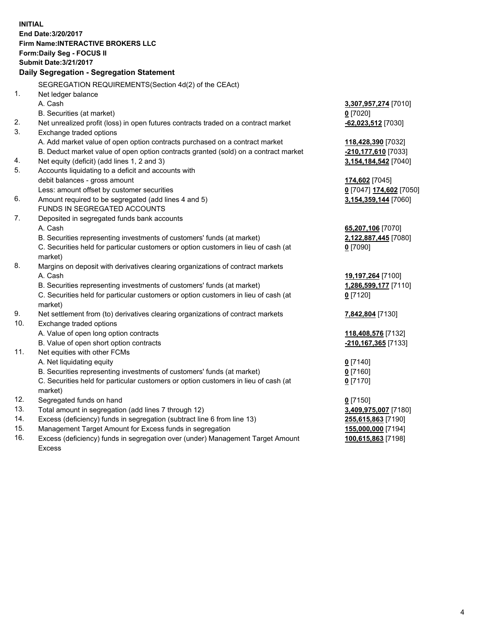**INITIAL End Date:3/20/2017 Firm Name:INTERACTIVE BROKERS LLC Form:Daily Seg - FOCUS II Submit Date:3/21/2017 Daily Segregation - Segregation Statement** SEGREGATION REQUIREMENTS(Section 4d(2) of the CEAct) 1. Net ledger balance A. Cash **3,307,957,274** [7010] B. Securities (at market) **0** [7020] 2. Net unrealized profit (loss) in open futures contracts traded on a contract market **-62,023,512** [7030] 3. Exchange traded options A. Add market value of open option contracts purchased on a contract market **118,428,390** [7032] B. Deduct market value of open option contracts granted (sold) on a contract market **-210,177,610** [7033] 4. Net equity (deficit) (add lines 1, 2 and 3) **3,154,184,542** [7040] 5. Accounts liquidating to a deficit and accounts with debit balances - gross amount **174,602** [7045] Less: amount offset by customer securities **0** [7047] **174,602** [7050] 6. Amount required to be segregated (add lines 4 and 5) **3,154,359,144** [7060] FUNDS IN SEGREGATED ACCOUNTS 7. Deposited in segregated funds bank accounts A. Cash **65,207,106** [7070] B. Securities representing investments of customers' funds (at market) **2,122,887,445** [7080] C. Securities held for particular customers or option customers in lieu of cash (at market) **0** [7090] 8. Margins on deposit with derivatives clearing organizations of contract markets A. Cash **19,197,264** [7100] B. Securities representing investments of customers' funds (at market) **1,286,599,177** [7110] C. Securities held for particular customers or option customers in lieu of cash (at market) **0** [7120] 9. Net settlement from (to) derivatives clearing organizations of contract markets **7,842,804** [7130] 10. Exchange traded options A. Value of open long option contracts **118,408,576** [7132] B. Value of open short option contracts **-210,167,365** [7133] 11. Net equities with other FCMs A. Net liquidating equity **0** [7140] B. Securities representing investments of customers' funds (at market) **0** [7160] C. Securities held for particular customers or option customers in lieu of cash (at market) **0** [7170] 12. Segregated funds on hand **0** [7150] 13. Total amount in segregation (add lines 7 through 12) **3,409,975,007** [7180] 14. Excess (deficiency) funds in segregation (subtract line 6 from line 13) **255,615,863** [7190] 15. Management Target Amount for Excess funds in segregation **155,000,000** [7194]

16. Excess (deficiency) funds in segregation over (under) Management Target Amount Excess

**100,615,863** [7198]